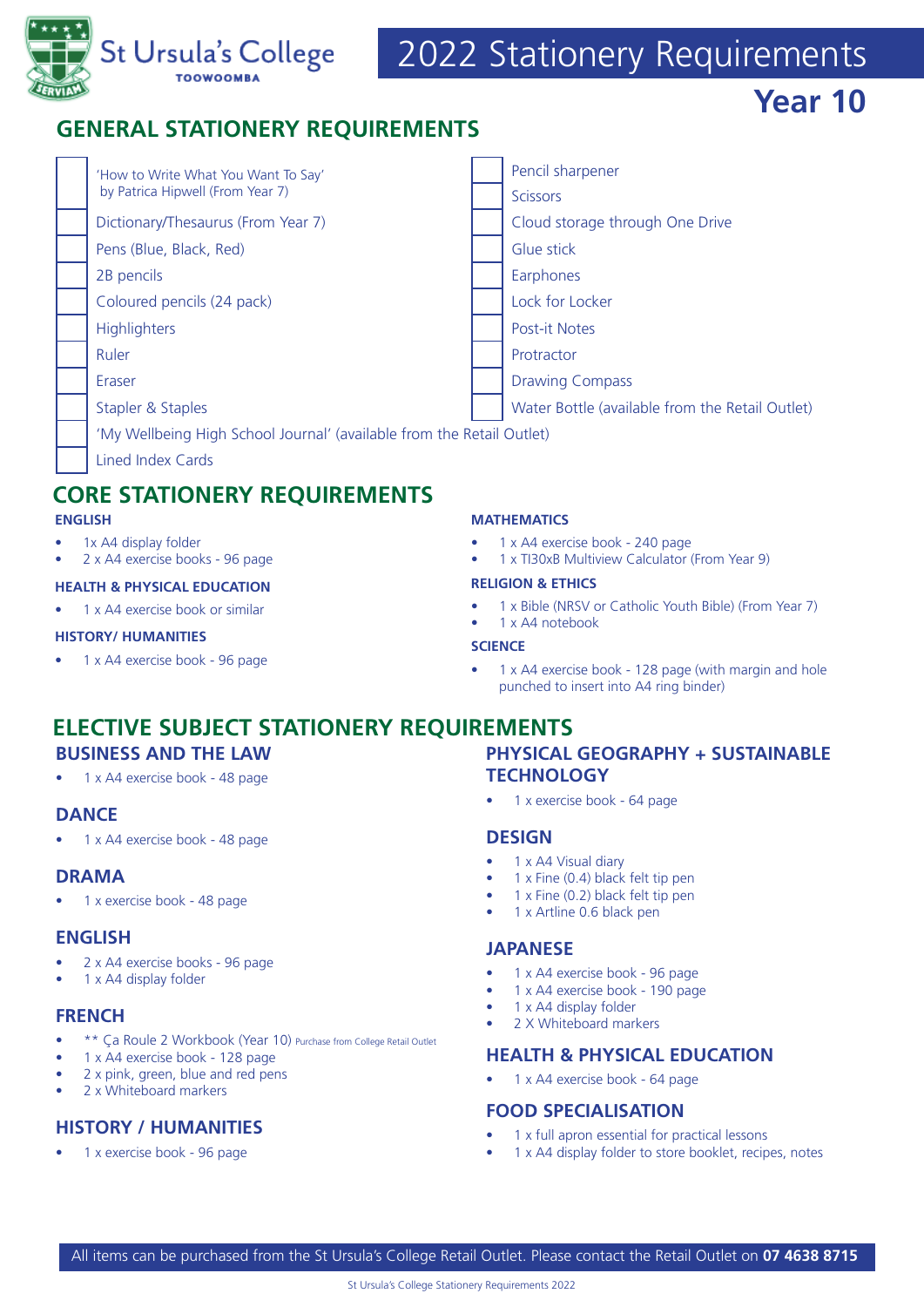

# 2022 Stationery Requirements

**Year 10**

# **GENERAL STATIONERY REQUIREMENTS**

| 'How to Write What You Want To Say'<br>by Patrica Hipwell (From Year 7) |  | Pencil sharpener                                |
|-------------------------------------------------------------------------|--|-------------------------------------------------|
|                                                                         |  | <b>Scissors</b>                                 |
| Dictionary/Thesaurus (From Year 7)                                      |  | Cloud storage through One Drive                 |
| Pens (Blue, Black, Red)                                                 |  | Glue stick                                      |
| 2B pencils                                                              |  | Earphones                                       |
| Coloured pencils (24 pack)                                              |  | Lock for Locker                                 |
| <b>Highlighters</b>                                                     |  | <b>Post-it Notes</b>                            |
| Ruler                                                                   |  | Protractor                                      |
| Eraser                                                                  |  | <b>Drawing Compass</b>                          |
| Stapler & Staples                                                       |  | Water Bottle (available from the Retail Outlet) |
| 'My Wellbeing High School Journal' (available from the Retail Outlet)   |  |                                                 |
| <b>Lined Index Cards</b>                                                |  |                                                 |

# **CORE STATIONERY REQUIREMENTS**

#### **ENGLISH**

- 1x A4 display folder
- 2 x A4 exercise books 96 page

#### **HEALTH & PHYSICAL EDUCATION**

1 x A4 exercise book or similar

#### **HISTORY/ HUMANITIES**

• 1 x A4 exercise book - 96 page

#### **MATHEMATICS**

- 1 x A4 exercise book 240 page
- 1 x TI30xB Multiview Calculator (From Year 9)

#### **RELIGION & ETHICS**

• 1 x Bible (NRSV or Catholic Youth Bible) (From Year 7)

# • 1 x A4 notebook

#### **SCIENCE**

• 1 x A4 exercise book - 128 page (with margin and hole punched to insert into A4 ring binder)

# **ELECTIVE SUBJECT STATIONERY REQUIREMENTS BUSINESS AND THE LAW**

• 1 x A4 exercise book - 48 page

# **DANCE**

• 1 x A4 exercise book - 48 page

### **DRAMA**

• 1 x exercise book - 48 page

### **ENGLISH**

- 2 x A4 exercise books 96 page
- 1 x A4 display folder

### **FRENCH**

- \*\* Ca Roule 2 Workbook (Year 10) Purchase from College Retail Outlet
- 1 x A4 exercise book 128 page
- 2 x pink, green, blue and red pens
- 2 x Whiteboard markers

# **HISTORY / HUMANITIES**

• 1 x exercise book - 96 page

# **PHYSICAL GEOGRAPHY + SUSTAINABLE TECHNOLOGY**

• 1 x exercise book - 64 page

### **DESIGN**

- 1 x A4 Visual diary
- 1 x Fine (0.4) black felt tip pen
- 1 x Fine (0.2) black felt tip pen
- 1 x Artline 0.6 black pen

### **JAPANESE**

- 1 x A4 exercise book 96 page
- 1 x A4 exercise book 190 page
- 1 x A4 display folder
- 2 X Whiteboard markers

# **HEALTH & PHYSICAL EDUCATION**

• 1 x A4 exercise book - 64 page

# **FOOD SPECIALISATION**

- 1 x full apron essential for practical lessons
- 1 x A4 display folder to store booklet, recipes, notes